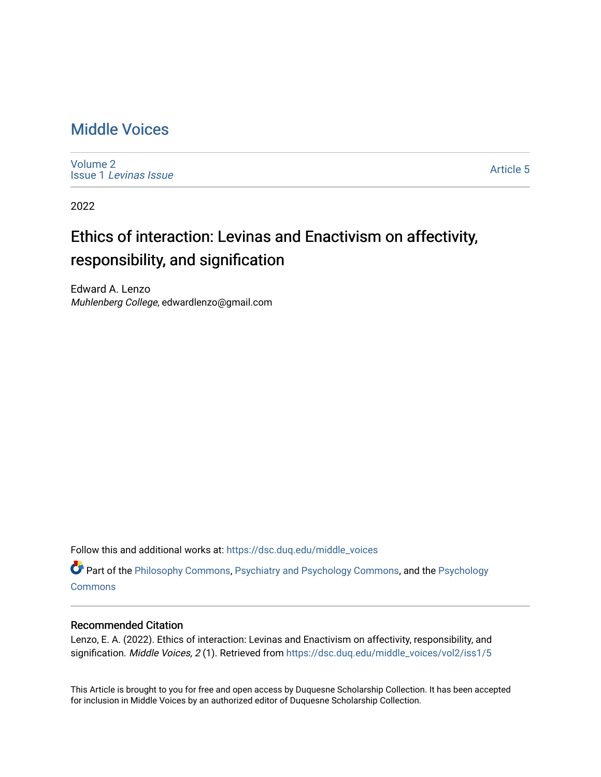# [Middle Voices](https://dsc.duq.edu/middle_voices)

[Volume 2](https://dsc.duq.edu/middle_voices/vol2) Issue 1 [Levinas Issue](https://dsc.duq.edu/middle_voices/vol2/iss1)

[Article 5](https://dsc.duq.edu/middle_voices/vol2/iss1/5) 

2022

# Ethics of interaction: Levinas and Enactivism on affectivity, responsibility, and signification

Edward A. Lenzo Muhlenberg College, edwardlenzo@gmail.com

Follow this and additional works at: [https://dsc.duq.edu/middle\\_voices](https://dsc.duq.edu/middle_voices?utm_source=dsc.duq.edu%2Fmiddle_voices%2Fvol2%2Fiss1%2F5&utm_medium=PDF&utm_campaign=PDFCoverPages)

Part of the [Philosophy Commons,](http://network.bepress.com/hgg/discipline/525?utm_source=dsc.duq.edu%2Fmiddle_voices%2Fvol2%2Fiss1%2F5&utm_medium=PDF&utm_campaign=PDFCoverPages) [Psychiatry and Psychology Commons,](http://network.bepress.com/hgg/discipline/908?utm_source=dsc.duq.edu%2Fmiddle_voices%2Fvol2%2Fiss1%2F5&utm_medium=PDF&utm_campaign=PDFCoverPages) and the [Psychology](http://network.bepress.com/hgg/discipline/404?utm_source=dsc.duq.edu%2Fmiddle_voices%2Fvol2%2Fiss1%2F5&utm_medium=PDF&utm_campaign=PDFCoverPages)  **[Commons](http://network.bepress.com/hgg/discipline/404?utm_source=dsc.duq.edu%2Fmiddle_voices%2Fvol2%2Fiss1%2F5&utm_medium=PDF&utm_campaign=PDFCoverPages)** 

#### Recommended Citation

Lenzo, E. A. (2022). Ethics of interaction: Levinas and Enactivism on affectivity, responsibility, and signification. Middle Voices, 2(1). Retrieved from https://dsc.duq.edu/middle\_voices/vol2/iss1/5

This Article is brought to you for free and open access by Duquesne Scholarship Collection. It has been accepted for inclusion in Middle Voices by an authorized editor of Duquesne Scholarship Collection.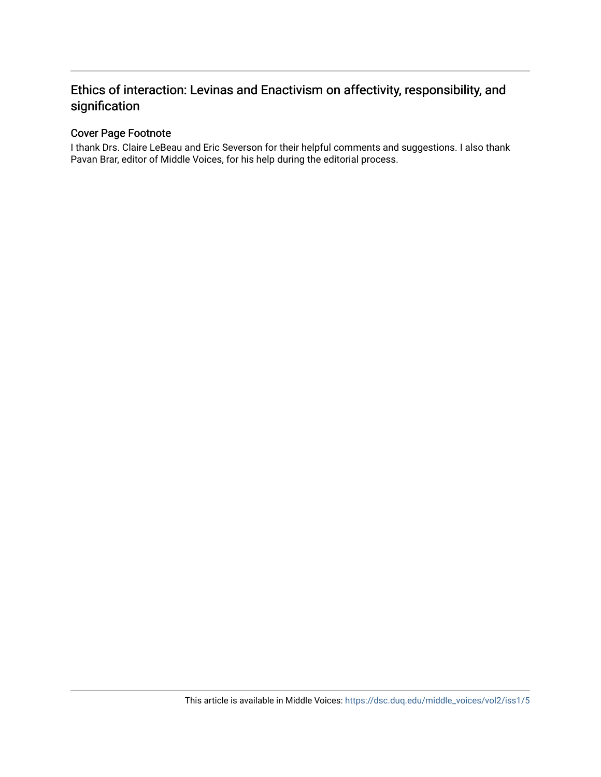## Ethics of interaction: Levinas and Enactivism on affectivity, responsibility, and signification

### Cover Page Footnote

I thank Drs. Claire LeBeau and Eric Severson for their helpful comments and suggestions. I also thank Pavan Brar, editor of Middle Voices, for his help during the editorial process.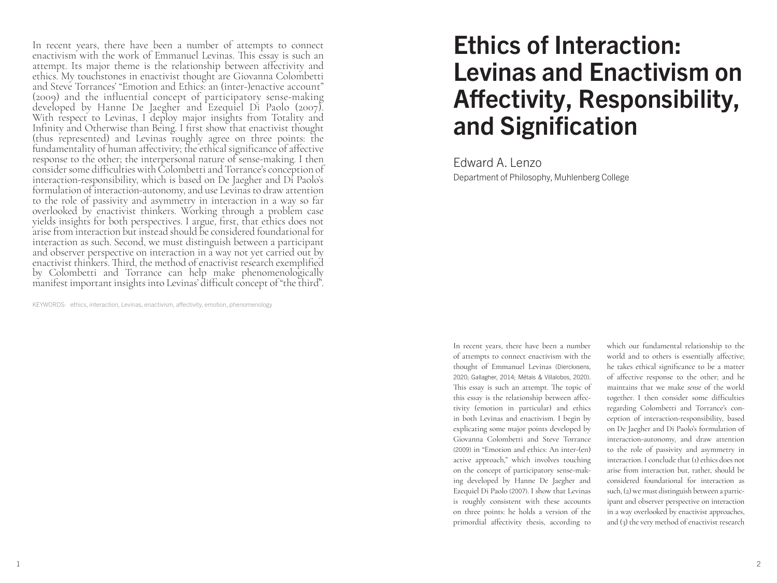In recent years, there have been a number of attempts to connect enactivism with the work of Emmanuel Levinas. This essay is such an attempt. Its major theme is the relationship between affectivity and ethics. My touchstones in enactivist thought are Giovanna Colombetti and Steve Torrances' "Emotion and Ethics: an (inter-)enactive account" (2009) and the influential concept of participatory sense-making developed by Hanne De Jaegher and Ezequiel Di Paolo (2007). With respect to Levinas, I deploy major insights from Totality and Infinity and Otherwise than Being. I first show that enactivist thought (thus represented) and Levinas roughly agree on three points: the fundamentality of human affectivity; the ethical significance of affective response to the other; the interpersonal nature of sense-making. I then consider some difficulties with Colombetti and Torrance's conception of interaction-responsibility, which is based on De Jaegher and Di Paolo's formulation of interaction-autonomy, and use Levinas to draw attention to the role of passivity and asymmetry in interaction in a way so far overlooked by enactivist thinkers. Working through a problem case yields insights for both perspectives. I argue, first, that ethics does not arise from interaction but instead should be considered foundational for interaction as such. Second, we must distinguish between a participant and observer perspective on interaction in a way not yet carried out by enactivist thinkers. Third, the method of enactivist research exemplified by Colombetti and Torrance can help make phenomenologically manifest important insights into Levinas' difficult concept of "the third".

KEYWORDS: ethics, interaction, Levinas, enactivism, affectivity, emotion, phenomenology

# Ethics of Interaction: Levinas and Enactivism on Affectivity, Responsibility, and Signification

Edward A. Lenzo Department of Philosophy, Muhlenberg College

In recent years, there have been a number of attempts to connect enactivism with the thought of Emmanuel Levinas (Dierckxsens, 2020; Gallagher, 2014; Métais & Villalobos, 2020). This essay is such an attempt. The topic of this essay is the relationship between affectivity (emotion in particular) and ethics in both Levinas and enactivism. I begin by explicating some major points developed by Giovanna Colombetti and Steve Torrance (2009) in "Emotion and ethics: An inter-(en) active approach," which involves touching on the concept of participatory sense-making developed by Hanne De Jaegher and Ezequiel Di Paolo (2007). I show that Levinas is roughly consistent with these accounts on three points: he holds a version of the primordial affectivity thesis, according to

which our fundamental relationship to the world and to others is essentially affective; he takes ethical significance to be a matter of affective response to the other; and he maintains that we make *sense* of the world together. I then consider some difficulties regarding Colombetti and Torrance's conception of interaction-responsibility, based on De Jaegher and Di Paolo's formulation of interaction-autonomy, and draw attention to the role of passivity and asymmetry in interaction. I conclude that (1) ethics does not arise from interaction but, rather, should be considered foundational for interaction as such, (2) we must distinguish between a participant and observer perspective on interaction in a way overlooked by enactivist approaches, and (3) the very method of enactivist research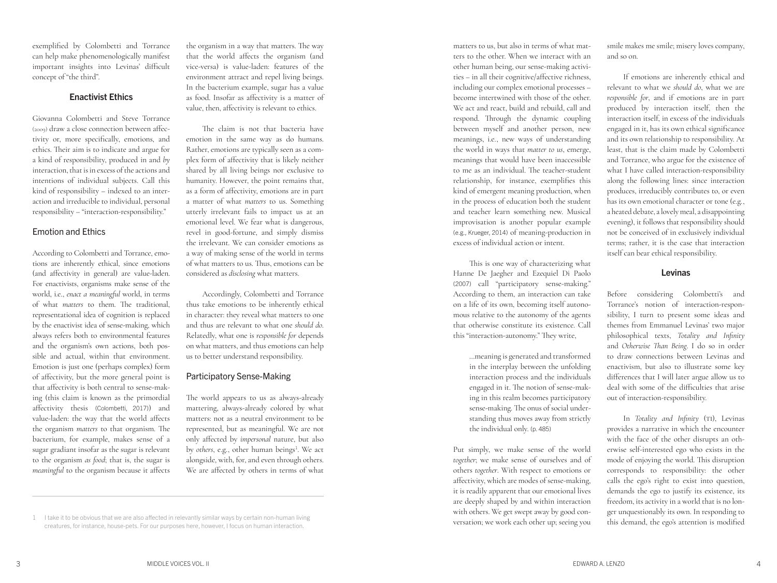exemplified by Colombetti and Torrance can help make phenomenologically manifest important insights into Levinas' difficult concept of "the third".

#### Enactivist Ethics

Giovanna Colombetti and Steve Torrance (2009) draw a close connection between affec tivity or, more specifically, emotions, and ethics. Their aim is to indicate and argue for a kind of responsibility, produced in and *by* interaction, that is in excess of the actions and intentions of individual subjects. Call this kind of responsibility – indexed to an inter action and irreducible to individual, personal responsibility – "interaction-responsibility."

#### Emotion and Ethics

According to Colombetti and Torrance, emo tions are inherently ethical, since emotions (and affectivity in general) are value-laden. For enactivists, organisms make sense of the world, i.e., *enact a meaningful* world, in terms of what *matters* to them. The traditional, representational idea of cognition is replaced by the enactivist idea of sense-making, which always refers both to environmental features and the organism's own actions, both pos sible and actual, within that environment. Emotion is just one (perhaps complex) form of affectivity, but the more general point is that affectivity is both central to sense-making (this claim is known as the primordial affectivity thesis (Colombetti, 2017)) and value-laden: the way that the world affects the organism *matters* to that organism. The bacterium, for example, makes sense of a sugar gradiant insofar as the sugar is relevant to the organism *as food*; that is, the sugar is *meaningful* to the organism because it affects

the organism in a way that matters. The way that the world affects the organism (and vice-versa) is value-laden: features of the environment attract and repel living beings. In the bacterium example, sugar has a value as food. Insofar as affectivity is a matter of value, then, affectivity is relevant to ethics.

The claim is not that bacteria have emotion in the same way as do humans. Rather, emotions are typically seen as a com plex form of affectivity that is likely neither shared by all living beings nor exclusive to humanity. However, the point remains that, as a form of affectivity, emotions are in part a matter of what *matters* to us. Something utterly irrelevant fails to impact us at an emotional level. We fear what is dangerous, revel in good-fortune, and simply dismiss the irrelevant. We can consider emotions as a way of making sense of the world in terms of what matters to us. Thus, emotions can be considered as *disclosing* what matters.

Accordingly, Colombetti and Torrance thus take emotions to be inherently ethical in character: they reveal what matters to one and thus are relevant to what one *should do*. Relatedly, what one is *responsible for* depends on what matters, and thus emotions can help us to better understand responsibility.

#### Participatory Sense-Making

The world appears to us as always-already mattering, always-already colored by what matters: not as a neutral environment to be represented, but as meaningful. We are not only affected by *impersonal* nature, but also by *others*, e.g., other human beings 1 . We act alongside, with, for, and even through others. We are affected by others in terms of what

matters to us, but also in terms of what mat ters to the other. When we interact with an other human being, our sense-making activi ties – in all their cognitive/affective richness, including our complex emotional processes – become intertwined with those of the other. We act and react, build and rebuild, call and respond. Through the dynamic coupling between myself and another person, new meanings, i.e., new ways of understanding the world in ways that *matter to us*, emerge, meanings that would have been inaccessible to me as an individual. The teacher-student relationship, for instance, exemplifies this kind of emergent meaning production, when in the process of education both the student and teacher learn something new. Musical improvisation is another popular example (e.g., Krueger, 2014) of meaning-production in excess of individual action or intent.

This is one way of characterizing what Hanne De Jaegher and Ezequiel Di Paolo (2007) call "participatory sense-making." According to them, an interaction can take on a life of its own, becoming itself autono mous relative to the autonomy of the agents that otherwise constitute its existence. Call this "interaction-autonomy." They write,

> …meaning is generated and transformed in the interplay between the unfolding interaction process and the individuals engaged in it. The notion of sense-making in this realm becomes participatory sense-making. The onus of social under standing thus moves away from strictly the individual only. (p. 485)

Put simply, we make sense of the world *together*; we make sense of ourselves and of others *together*. With respect to emotions or affectivity, which are modes of sense-making, it is readily apparent that our emotional lives are deeply shaped by and within interaction with others. We get swept away by good con versation; we work each other up; seeing you

smile makes me smile; misery loves company, and so on.

If emotions are inherently ethical and relevant to what we *should do*, what we are *responsible for*, and if emotions are in part produced by interaction itself, then the interaction itself, in excess of the individuals engaged in it, has its own ethical significance and its own relationship to responsibility. At least, that is the claim made by Colombetti and Torrance, who argue for the existence of what I have called interaction-responsibility along the following lines: since interaction produces, irreducibly contributes to, or even has its own emotional character or tone (e.g., a heated debate, a lovely meal, a disappointing evening), it follows that responsibility should not be conceived of in exclusively individual terms; rather, it is the case that interaction itself can bear ethical responsibility.

#### Levinas

Before considering Colombetti's and Torrance's notion of interaction-respon sibility, I turn to present some ideas and themes from Emmanuel Levinas' two major philosophical texts, *Totality and Infinity* and *Otherwise Than Being*. I do so in order to draw connections between Levinas and enactivism, but also to illustrate some key differences that I will later argue allow us to deal with some of the difficulties that arise out of interaction-responsibility.

In *Totality and Infinity* (TI), Levinas provides a narrative in which the encounter with the face of the other disrupts an oth erwise self-interested ego who exists in the mode of enjoying the world. This disruption corresponds to responsibility: the other calls the ego's right to exist into question, demands the ego to justify its existence, its freedom, its activity in a world that is no lon ger unquestionably its own. In responding to this demand, the ego's attention is modified

<sup>1</sup> I take it to be obvious that we are also affected in relevantly similar ways by certain non-human living creatures, for instance, house-pets. For our purposes here, however, I focus on human interaction.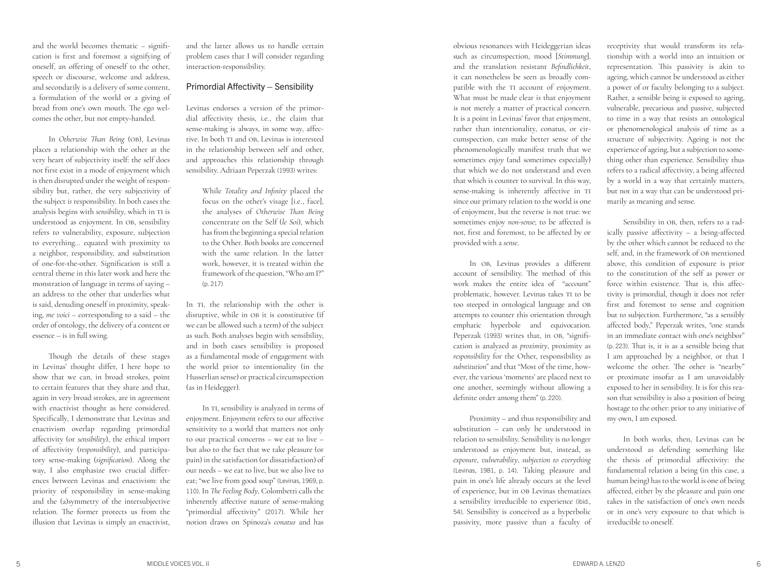and the world becomes thematic – signifi cation is first and foremost a signifying of oneself, an offering of oneself to the other, speech or discourse, welcome and address, and secondarily is a delivery of some content, a formulation of the world or a giving of bread from one's own mouth. The ego wel comes the other, but not empty-handed.

In *Otherwise Than Being* (OB), Levinas places a relationship with the other at the very heart of subjectivity itself: the self does not first exist in a mode of enjoyment which is then disrupted under the weight of respon sibility but, rather, the very subjectivity of the subject *is* responsibility. In both cases the analysis begins with *sensibility*, which in TI is understood as enjoyment. In OB, sensibility refers to vulnerability, exposure, subjection to everything… equated with proximity to a neighbor, responsibility, and substitution of one-for-the-other. Signification is still a central theme in this later work and here the monstration of language in terms of saying – an address to the other that underlies what is said, denuding oneself in proximity, speaking, *me voici* – corresponding to a said – the order of ontology, the delivery of a content or essence – is in full swing.

Though the details of these stages in Levinas' thought differ, I here hope to show that we can, in broad strokes, point to certain features that they share and that, again in very broad strokes, are in agreement with enactivist thought as here considered. Specifically, I demonstrate that Levinas and enactivism overlap regarding primordial affectivity (or *sensibility*), the ethical import of affectivity (*responsibility*), and participa tory sense-making (*signification*). Along the way, I also emphasize two crucial differ ences between Levinas and enactivism: the priority of responsibility in sense-making and the (a)symmetry of the intersubjective relation. The former protects us from the illusion that Levinas is simply an enactivist,

5

and the latter allows us to handle certain problem cases that I will consider regarding interaction-responsibility.

#### Primordial Affectivity – Sensibility

Levinas endorses a version of the primor dial affectivity thesis, i.e., the claim that sense-making is always, in some way, affec tive. In both TI and OB, Levinas is interested in the relationship between self and other, and approaches this relationship through sensibility. Adriaan Peperzak (1993) writes:

While *Totality and Infinity* placed the focus on the other's visage [i.e., face], the analyses of *Otherwise Than Being* concentrate on the Self (*le Soi*), which has from the beginning a special relation to the Other. Both books are concerned with the same relation. In the latter work, however, it is treated within the framework of the question, "Who am I?" (p. 217)

In TI, the relationship with the other is disruptive, while in OB it is constitutive (if we can be allowed such a term) of the subject as such. Both analyses begin with sensibility, and in both cases sensibility is proposed as a fundamental mode of engagement with the world prior to intentionality (in the Husserlian sense) or practical circumspection (as in Heidegger).

In TI, sensibility is analyzed in terms of enjoyment. Enjoyment refers to our affective sensitivity to a world that matters not only to our practical concerns – we eat to live – but also to the fact that we take pleasure (or pain) in the satisfaction (or dissatisfaction) of our needs – we eat to live, but we also live to eat; "we live from good soup" (Levinas, 1969, p. 110). In *The Feeling Body*, Colombetti calls the inherently affective nature of sense-making "primordial affectivity" (2017). While her notion draws on Spinoza's *conatus* and has

obvious resonances with Heideggerian ideas such as circumspection, mood [*Stimmung*], and the translation resistant *Befindlichkeit*, it can nonetheless be seen as broadly com patible with the TI account of enjoyment. What must be made clear is that enjoyment is not merely a matter of practical concern. It is a point in Levinas' favor that enjoyment, rather than intentionality, conatus, or cir cumspection, can make better sense of the phenomenologically manifest truth that we sometimes *enjoy* (and sometimes especially) that which we do not understand and even that which is counter to survival. In this way, sense-making is inherently affective in TI since our primary relation to the world is one of enjoyment, but the reverse is not true: we sometimes enjoy *non-sense*; to be affected is not, first and foremost, to be affected by or provided with a *sense* .

In OB, Levinas provides a different account of sensibility. The method of this work makes the entire idea of "account" problematic, however. Levinas takes TI to be too steeped in ontological language and OB attempts to counter this orientation through emphatic hyperbole and equivocation. Peperzak (1993) writes that, in OB, "signifi cation is analyzed as *proximity*, proximity as *responsibility* for the Other, responsibility as *substitution*" and that "Most of the time, how ever, the various 'moments' are placed next to one another, seemingly without allowing a definite order among them" (p. 220).

Proximity – and thus responsibility and substitution – can only be understood in relation to sensibility. Sensibility is no longer understood as enjoyment but, instead, as *exposure*, *vulnerability*, *subjection to everything* (Levinas, 1981, p. 14). Taking pleasure and pain in one's life already occurs at the level of experience, but in OB Levinas thematizes a sensibility irreducible to experience (ibid., 54). Sensibility is conceived as a hyperbolic passivity, more passive than a faculty of

receptivity that would transform its rela tionship with a world into an intuition or representation. This passivity is akin to ageing, which cannot be understood as either a power of or faculty belonging to a subject. Rather, a sensible being is exposed to ageing, vulnerable, precarious and passive, subjected to time in a way that resists an ontological or phenomenological analysis of time as a structure of subjectivity. Ageing is not the experience of ageing, but a subjection to some thing other than experience. Sensibility thus refers to a radical affectivity, a being affected by a world in a way that certainly matters, but not in a way that can be understood pri marily as meaning and sense.

Sensibility in OB, then, refers to a rad ically passive affectivity – a being-affected by the other which cannot be reduced to the self, and, in the framework of OB mentioned above, this condition of exposure is prior to the constitution of the self as power or force within existence. That is, this affec tivity is primordial, though it does not refer first and foremost to sense and cognition but to subjection. Furthermore, "as a sensibly affected body," Peperzak writes, "one stands in an immediate contact with one's neighbor" (p. 223). That is, it is as a sensible being that I am approached by a neighbor, or that I welcome the other. The other is "nearby" or proximate insofar as I am unavoidably exposed to her in sensibility. It is for this rea son that sensibility is also a position of being hostage to the other: prior to any initiative of my own, I am exposed.

In both works, then, Levinas can be understood as defending something like the thesis of primordial affectivity: the fundamental relation a being (in this case, a human being) has to the world is one of being affected, either by the pleasure and pain one takes in the satisfaction of one's own needs or in one's very exposure to that which is irreducible to oneself.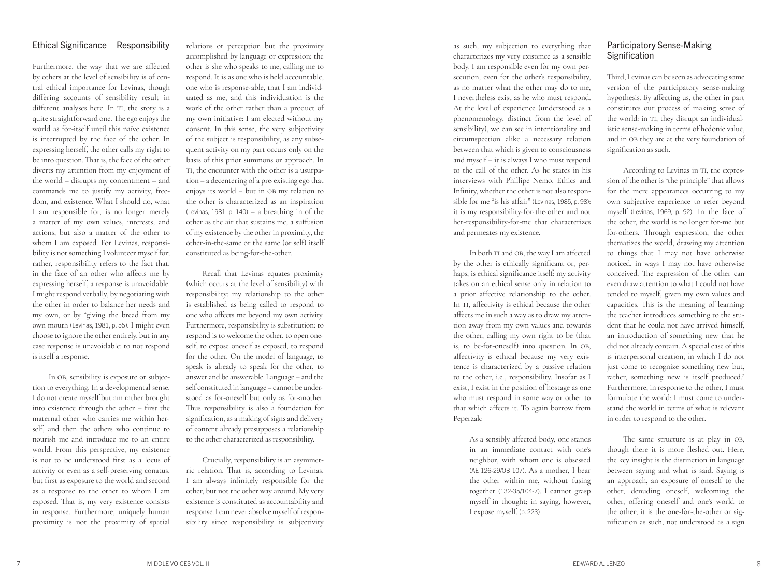#### Ethical Significance – Responsibility

Furthermore, the way that we are affected by others at the level of sensibility is of cen tral ethical importance for Levinas, though differing accounts of sensibility result in different analyses here. In TI, the story is a quite straightforward one. The ego enjoys the world as for-itself until this naïve existence is interrupted by the face of the other. In expressing herself, the other calls my right to be into question. That is, the face of the other diverts my attention from my enjoyment of the world – disrupts my contentment – and commands me to justify my activity, free dom, and existence. What I should do, what I am responsible for, is no longer merely a matter of my own values, interests, and actions, but also a matter of the other to whom I am exposed. For Levinas, responsi bility is not something I volunteer myself for; rather, responsibility refers to the fact that, in the face of an other who affects me by expressing herself, a response is unavoidable. I might respond verbally, by negotiating with the other in order to balance her needs and my own, or by "giving the bread from my own mouth (Levinas, 1981, p. 55). I might even choose to ignore the other entirely, but in any case response is unavoidable: to not respond is itself a response.

In OB, sensibility is exposure or subjec tion to everything. In a developmental sense, I do not create myself but am rather brought into existence through the other – first the maternal other who carries me within her self, and then the others who continue to nourish me and introduce me to an entire world. From this perspective, my existence is not to be understood first as a locus of activity or even as a self-preserving conatus, but first as exposure to the world and second as a response to the other to whom I am exposed. That is, my very existence consists in response. Furthermore, uniquely human proximity is not the proximity of spatial

relations or perception but the proximity accomplished by language or expression: the other is she who speaks to me, calling me to respond. It is as one who is held accountable, one who is response-able, that I am individ uated as me, and this individuation is the work of the other rather than a product of my own initiative: I am elected without my consent. In this sense, the very subjectivity of the subject is responsibility, as any subse quent activity on my part occurs only on the basis of this prior summons or approach. In TI, the encounter with the other is a usurpa tion – a decentering of a pre-existing ego that enjoys its world – but in OB my relation to the other is characterized as an inspiration (Levinas, 1981, p. 140) – a breathing in of the other as the air that sustains me, a suffusion of my existence by the other in proximity, the other-in-the-same or the same (or self) itself constituted as being-for-the-other.

Recall that Levinas equates proximity (which occurs at the level of sensibility) with responsibility: my relationship to the other is established as being called to respond to one who affects me beyond my own activity. Furthermore, responsibility is substitution: to respond is to welcome the other, to open one self, to expose oneself as exposed, to respond for the other. On the model of language, to speak is already to speak for the other, to answer and be answerable. Language – and the self constituted in language – cannot be under stood as for-oneself but only as for-another. Thus responsibility is also a foundation for signification, as a making of signs and delivery of content already presupposes a relationship to the other characterized as responsibility.

Crucially, responsibility is an asymmet ric relation. That is, according to Levinas, I am always infinitely responsible for the other, but not the other way around. My very existence is constituted as accountability and response. I can never absolve myself of respon sibility since responsibility is subjectivity

as such, my subjection to everything that characterizes my very existence as a sensible body. I am responsible even for my own per secution, even for the other's responsibility, as no matter what the other may do to me, I nevertheless exist as he who must respond. At the level of experience (understood as a phenomenology, distinct from the level of sensibility), we can see in intentionality and circumspection alike a necessary relation between that which is given to consciousness and myself – it is always I who must respond to the call of the other. As he states in his interviews with Phillipe Nemo, Ethics and Infinity, whether the other is not also respon sible for me "is his affair" (Levinas, 1985, p. 98): it is my responsibility-for-the-other and not her-responsibility-for-me that characterizes and permeates my existence.

In both TI and OB, the way I am affected by the other is ethically significant or, per haps, is ethical significance itself: my activity takes on an ethical sense only in relation to a prior affective relationship to the other. In TI, affectivity is ethical because the other affects me in such a way as to draw my atten tion away from my own values and towards the other, calling my own right to be (that is, to be-for-oneself) into question. In OB, affectivity is ethical because my very exis tence is characterized by a passive relation to the other, i.e., responsibility. Insofar as I exist, I exist in the position of hostage as one who must respond in some way or other to that which affects it. To again borrow from Peperzak:

> As a sensibly affected body, one stands in an immediate contact with one's neighbor, with whom one is obsessed (AE 126-29/OB 107). As a mother, I bear the other within me, without fusing together (132-35/104-7). I cannot grasp myself in thought; in saying, however, I expose myself. (p. 223)

#### Participatory Sense-Making – **Signification**

Third, Levinas can be seen as advocating some version of the participatory sense-making hypothesis. By affecting us, the other in part constitutes our process of making sense of the world: in TI, they disrupt an individual istic sense-making in terms of hedonic value, and in OB they are at the very foundation of signification as such.

According to Levinas in TI, the expres sion of the other is "the principle" that allows for the mere appearances occurring to my own subjective experience to refer beyond myself (Levinas, 1969, p. 92). In the face of the other, the world is no longer for-me but for-others. Through expression, the other thematizes the world, drawing my attention to things that I may not have otherwise noticed, in ways I may not have otherwise conceived. The expression of the other can even draw attention to what I could not have tended to myself, given my own values and capacities. This is the meaning of learning: the teacher introduces something to the stu dent that he could not have arrived himself, an introduction of something new that he did not already contain. A special case of this is interpersonal creation, in which I do not just come to recognize something new but, rather, something new is itself produced. 2 Furthermore, in response to the other, I must formulate the world: I must come to under stand the world in terms of what is relevant in order to respond to the other.

The same structure is at play in OB, though there it is more fleshed out. Here, the key insight is the distinction in language between saying and what is said. Saying is an approach, an exposure of oneself to the other, denuding oneself, welcoming the other, offering oneself and one's world to the other; it is the one-for-the-other or sig nification as such, not understood as a sign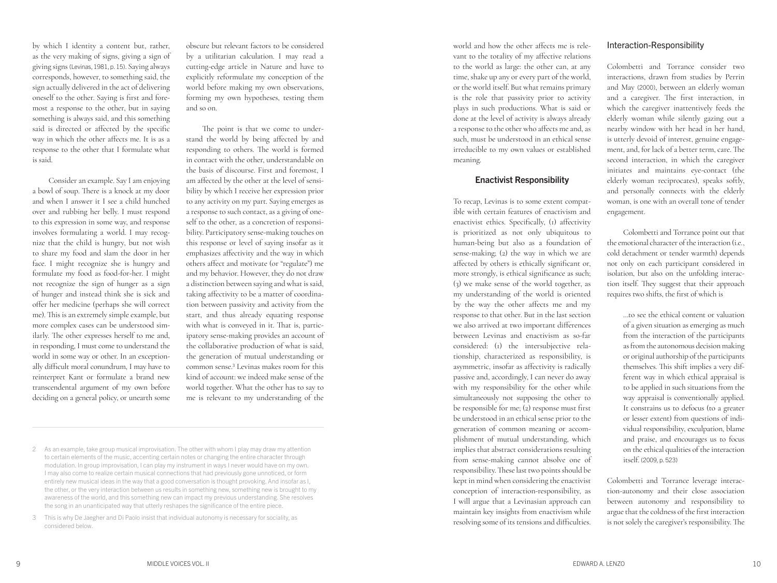by which I identity a content but, rather, as the very making of signs, giving a sign of giving signs (Levinas, 1981, p. 15). Saying always corresponds, however, to something said, the sign actually delivered in the act of delivering oneself to the other. Saying is first and fore most a response to the other, but in saying something is always said, and this something said is directed or affected by the specific way in which the other affects me. It is as a response to the other that I formulate what is said.

Consider an example. Say I am enjoying a bowl of soup. There is a knock at my door and when I answer it I see a child hunched over and rubbing her belly. I must respond to this expression in some way, and response involves formulating a world. I may recog nize that the child is hungry, but not wish to share my food and slam the door in her face. I might recognize she is hungry and formulate my food as food-for-her. I might not recognize the sign of hunger as a sign of hunger and instead think she is sick and offer her medicine (perhaps she will correct me). This is an extremely simple example, but more complex cases can be understood sim ilarly. The other expresses herself to me and, in responding, I must come to understand the world in some way or other. In an exception ally difficult moral conundrum, I may have to reinterpret Kant or formulate a brand new transcendental argument of my own before deciding on a general policy, or unearth some

obscure but relevant factors to be considered by a utilitarian calculation. I may read a cutting-edge article in Nature and have to explicitly reformulate my conception of the world before making my own observations, forming my own hypotheses, testing them and so on.

The point is that we come to under stand the world by being affected by and responding to others. The world is formed in contact with the other, understandable on the basis of discourse. First and foremost, I am affected by the other at the level of sensi bility by which I receive her expression prior to any activity on my part. Saying emerges as a response to such contact, as a giving of one self to the other, as a concretion of responsi bility. Participatory sense-making touches on this response or level of saying insofar as it emphasizes affectivity and the way in which others affect and motivate (or "regulate") me and my behavior. However, they do not draw a distinction between saying and what is said, taking affectivity to be a matter of coordina tion between passivity and activity from the start, and thus already equating response with what is conveyed in it. That is, partic ipatory sense-making provides an account of the collaborative production of what is said, the generation of mutual understanding or common sense. 3 Levinas makes room for this kind of account: we indeed make sense of the world together. What the other has to say to me is relevant to my understanding of the

world and how the other affects me is rele vant to the totality of my affective relations to the world as large: the other can, at any time, shake up any or every part of the world, or the world itself. But what remains primary is the role that passivity prior to activity plays in such productions. What is said or done at the level of activity is always already a response to the other who affects me and, as such, must be understood in an ethical sense irreducible to my own values or established meaning.

#### Enactivist Responsibility

To recap, Levinas is to some extent compat ible with certain features of enactivism and enactivist ethics. Specifically, (1) affectivity is prioritized as not only ubiquitous to human-being but also as a foundation of sense-making; (2) the way in which we are affected by others is ethically significant or, more strongly, is ethical significance as such; (3) we make sense of the world together, as my understanding of the world is oriented by the way the other affects me and my response to that other. But in the last section we also arrived at two important differences between Levinas and enactivism as so-far considered: (1) the intersubjective rela tionship, characterized as responsibility, is asymmetric, insofar as affectivity is radically passive and, accordingly, I can never do away with my responsibility for the other while simultaneously not supposing the other to be responsible for me; (2) response must first be understood in an ethical sense prior to the generation of common meaning or accom plishment of mutual understanding, which implies that abstract considerations resulting from sense-making cannot absolve one of responsibility. These last two points should be kept in mind when considering the enactivist conception of interaction-responsibility, as I will argue that a Levinasian approach can maintain key insights from enactivism while resolving some of its tensions and difficulties.

#### Interaction-Responsibility

Colombetti and Torrance consider two interactions, drawn from studies by Perrin and May (2000), between an elderly woman and a caregiver. The first interaction, in which the caregiver inattentively feeds the elderly woman while silently gazing out a nearby window with her head in her hand, is utterly devoid of interest, genuine engage ment, and, for lack of a better term, care. The second interaction, in which the caregiver initiates and maintains eye-contact (the elderly woman reciprocates), speaks softly, and personally connects with the elderly woman, is one with an overall tone of tender engagement.

Colombetti and Torrance point out that the emotional character of the interaction (i.e., cold detachment or tender warmth) depends not only on each participant considered in isolation, but also on the unfolding interac tion itself. They suggest that their approach requires two shifts, the first of which is

> …to see the ethical content or valuation of a given situation as emerging as much from the interaction of the participants as from the autonomous decision making or original authorship of the participants themselves. This shift implies a very different way in which ethical appraisal is to be applied in such situations from the way appraisal is conventionally applied. It constrains us to defocus (to a greater or lesser extent) from questions of indi vidual responsibility, exculpation, blame and praise, and encourages us to focus on the ethical qualities of the interaction itself. (2009, p. 523)

Colombetti and Torrance leverage interac tion-autonomy and their close association between autonomy and responsibility to argue that the coldness of the first interaction is not solely the caregiver's responsibility. The

<sup>2</sup> As an example, take group musical improvisation. The other with whom I play may draw my attention to certain elements of the music, accenting certain notes or changing the entire character through modulation. In group improvisation, I can play my instrument in ways I never would have on my own. I may also come to realize certain musical connections that had previously gone unnoticed, or form entirely new musical ideas in the way that a good conversation is thought provoking. And insofar as I, the other, or the very interaction between us results in something new, something new is brought to my awareness of the world, and this something new can impact my previous understanding. She resolves the song in an unanticipated way that utterly reshapes the significance of the entire piece.

<sup>3</sup> This is why De Jaegher and Di Paolo insist that individual autonomy is necessary for sociality, as considered below.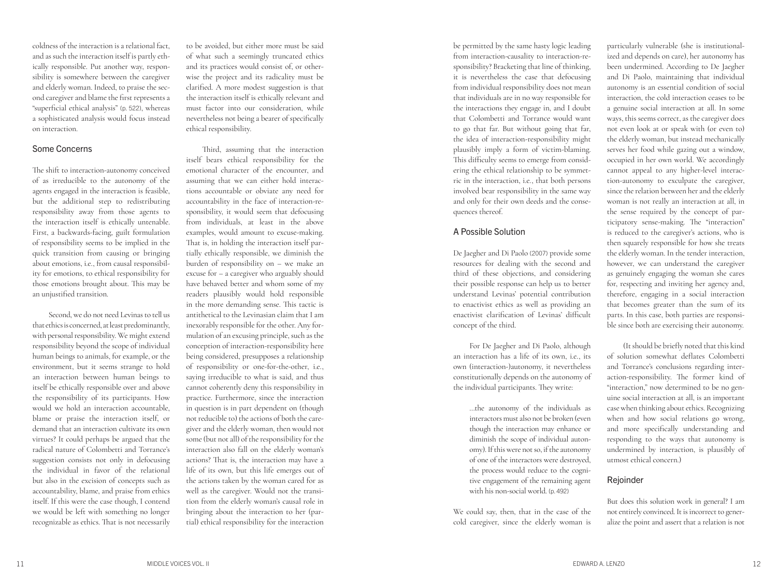coldness of the interaction is a relational fact, and as such the interaction itself is partly eth ically responsible. Put another way, respon sibility is somewhere between the caregiver and elderly woman. Indeed, to praise the sec ond caregiver and blame the first represents a "superficial ethical analysis" (p. 522), whereas a sophisticated analysis would focus instead on interaction.

#### Some Concerns

The shift to interaction-autonomy conceived of as irreducible to the autonomy of the agents engaged in the interaction is feasible, but the additional step to redistributing responsibility away from those agents to the interaction itself is ethically untenable. First, a backwards-facing, guilt formulation of responsibility seems to be implied in the quick transition from causing or bringing about emotions, i.e., from causal responsibil ity for emotions, to ethical responsibility for those emotions brought about. This may be an unjustified transition.

Second, we do not need Levinas to tell us that ethics is concerned, at least predominantly, with personal responsibility. We might extend responsibility beyond the scope of individual human beings to animals, for example, or the environment, but it seems strange to hold an interaction between human beings to itself be ethically responsible over and above the responsibility of its participants. How would we hold an interaction accountable, blame or praise the interaction itself, or demand that an interaction cultivate its own virtues? It could perhaps be argued that the radical nature of Colombetti and Torrance's suggestion consists not only in defocusing the individual in favor of the relational but also in the excision of concepts such as accountability, blame, and praise from ethics itself. If this were the case though, I contend we would be left with something no longer recognizable as ethics. That is not necessarily

to be avoided, but either more must be said of what such a seemingly truncated ethics and its practices would consist of, or other wise the project and its radicality must be clarified. A more modest suggestion is that the interaction itself is ethically relevant and must factor into our consideration, while nevertheless not being a bearer of specifically ethical responsibility.

Third, assuming that the interaction itself bears ethical responsibility for the emotional character of the encounter, and assuming that we can either hold interac tions accountable or obviate any need for accountability in the face of interaction-re sponsibility, it would seem that defocusing from individuals, at least in the above examples, would amount to excuse-making. That is, in holding the interaction itself par tially ethically responsible, we diminish the burden of responsibility on – we make an excuse for – a caregiver who arguably should have behaved better and whom some of my readers plausibly would hold responsible in the more demanding sense. This tactic is antithetical to the Levinasian claim that I am inexorably responsible for the other. Any for mulation of an excusing principle, such as the conception of interaction-responsibility here being considered, presupposes a relationship of responsibility or one-for-the-other, i.e., saying irreducible to what is said, and thus cannot coherently deny this responsibility in practice. Furthermore, since the interaction in question is in part dependent on (though not reducible to) the actions of both the care giver and the elderly woman, then would not some (but not all) of the responsibility for the interaction also fall on the elderly woman's actions? That is, the interaction may have a life of its own, but this life emerges out of the actions taken by the woman cared for as well as the caregiver. Would not the transi tion from the elderly woman's causal role in bringing about the interaction to her (par tial) ethical responsibility for the interaction

be permitted by the same hasty logic leading from interaction-causality to interaction-re sponsibility? Bracketing that line of thinking, it is nevertheless the case that defocusing from individual responsibility does not mean that individuals are in no way responsible for the interactions they engage in, and I doubt that Colombetti and Torrance would want to go that far. But without going that far, the idea of interaction-responsibility might plausibly imply a form of victim-blaming. This difficulty seems to emerge from consid ering the ethical relationship to be symmet ric in the interaction, i.e., that both persons involved bear responsibility in the same way and only for their own deeds and the conse quences thereof.

#### A Possible Solution

De Jaegher and Di Paolo (2007) provide some resources for dealing with the second and third of these objections, and considering their possible response can help us to better understand Levinas' potential contribution to enactivist ethics as well as providing an enactivist clarification of Levinas' difficult concept of the third.

For De Jaegher and Di Paolo, although an interaction has a life of its own, i.e., its own (interaction-)autonomy, it nevertheless constitutionally depends on the autonomy of the individual participants. They write:

> …the autonomy of the individuals as interactors must also not be broken (even though the interaction may enhance or diminish the scope of individual auton omy). If this were not so, if the autonomy of one of the interactors were destroyed, the process would reduce to the cogni tive engagement of the remaining agent with his non-social world. (p. 492)

We could say, then, that in the case of the cold caregiver, since the elderly woman is

particularly vulnerable (she is institutional ized and depends on care), her autonomy has been undermined. According to De Jaegher and Di Paolo, maintaining that individual autonomy is an essential condition of social interaction, the cold interaction ceases to be a genuine social interaction at all. In some ways, this seems correct, as the caregiver does not even look at or speak with (or even to) the elderly woman, but instead mechanically serves her food while gazing out a window, occupied in her own world. We accordingly cannot appeal to any higher-level interac tion-autonomy to exculpate the caregiver, since the relation between her and the elderly woman is not really an interaction at all, in the sense required by the concept of par ticipatory sense-making. The "interaction" is reduced to the caregiver's actions, who is then squarely responsible for how she treats the elderly woman. In the tender interaction, however, we can understand the caregiver as genuinely engaging the woman she cares for, respecting and inviting her agency and, therefore, engaging in a social interaction that becomes greater than the sum of its parts. In this case, both parties are responsi ble since both are exercising their autonomy.

(It should be briefly noted that this kind of solution somewhat deflates Colombetti and Torrance's conclusions regarding inter action-responsibility. The former kind of "interaction," now determined to be no gen uine social interaction at all, is an important case when thinking about ethics. Recognizing when and how social relations go wrong, and more specifically understanding and responding to the ways that autonomy is undermined by interaction, is plausibly of utmost ethical concern.)

#### Rejoinder

But does this solution work in general? I am not entirely convinced. It is incorrect to gener alize the point and assert that a relation is not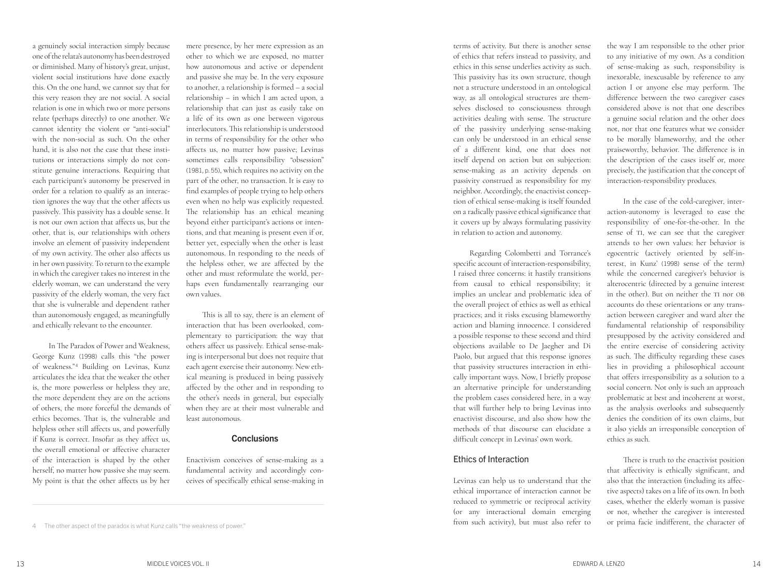a genuinely social interaction simply because one of the relata's autonomy has been destroyed or diminished. Many of history's great, unjust, violent social institutions have done exactly this. On the one hand, we cannot say that for this very reason they are not social. A social relation is one in which two or more persons relate (perhaps directly) to one another. We cannot identity the violent or "anti-social" with the non-social as such. On the other hand, it is also not the case that these institutions or interactions simply do not constitute genuine interactions. Requiring that each participant's autonomy be preserved in order for a relation to qualify as an interaction ignores the way that the other affects us passively. This passivity has a double sense. It is not our own action that affects us, but the other, that is, our relationships with others involve an element of passivity independent of my own activity. The other also affects us in her own passivity. To return to the example in which the caregiver takes no interest in the elderly woman, we can understand the very passivity of the elderly woman, the very fact that she is vulnerable and dependent rather than autonomously engaged, as meaningfully and ethically relevant to the encounter.

In The Paradox of Power and Weakness, George Kunz (1998) calls this "the power of weakness."<sup>4</sup> Building on Levinas, Kunz articulates the idea that the weaker the other is, the more powerless or helpless they are, the more dependent they are on the actions of others, the more forceful the demands of ethics becomes. That is, the vulnerable and helpless other still affects us, and powerfully if Kunz is correct. Insofar as they affect us, the overall emotional or affective character of the interaction is shaped by the other herself, no matter how passive she may seem. My point is that the other affects us by her

mere presence, by her mere expression as an other to which we are exposed, no matter how autonomous and active or dependent and passive she may be. In the very exposure to another, a relationship is formed – a social relationship – in which I am acted upon, a relationship that can just as easily take on a life of its own as one between vigorous interlocutors. This relationship is understood in terms of responsibility for the other who affects us, no matter how passive; Levinas sometimes calls responsibility "obsession" (1981, p. 55), which requires no activity on the part of the other, no transaction. It is easy to find examples of people trying to help others even when no help was explicitly requested. The relationship has an ethical meaning beyond either participant's actions or intentions, and that meaning is present even if or, better yet, especially when the other is least autonomous. In responding to the needs of the helpless other, we are affected by the other and must reformulate the world, perhaps even fundamentally rearranging our own values.

This is all to say, there is an element of interaction that has been overlooked, complementary to participation: the way that others affect us passively. Ethical sense-making is interpersonal but does not require that each agent exercise their autonomy. New ethical meaning is produced in being passively affected by the other and in responding to the other's needs in general, but especially when they are at their most vulnerable and least autonomous.

#### **Conclusions**

Enactivism conceives of sense-making as a fundamental activity and accordingly conceives of specifically ethical sense-making in

terms of activity. But there is another sense of ethics that refers instead to passivity, and ethics in this sense underlies activity as such. This passivity has its own structure, though not a structure understood in an ontological way, as all ontological structures are themselves disclosed to consciousness through activities dealing with sense. The structure of the passivity underlying sense-making can only be understood in an ethical sense of a different kind, one that does not itself depend on action but on subjection: sense-making as an activity depends on passivity construed as responsibility for my neighbor. Accordingly, the enactivist conception of ethical sense-making is itself founded on a radically passive ethical significance that it covers up by always formulating passivity in relation to action and autonomy.

Regarding Colombetti and Torrance's specific account of interaction-responsibility, I raised three concerns: it hastily transitions from causal to ethical responsibility; it implies an unclear and problematic idea of the overall project of ethics as well as ethical practices; and it risks excusing blameworthy action and blaming innocence. I considered a possible response to these second and third objections available to De Jaegher and Di Paolo, but argued that this response ignores that passivity structures interaction in ethically important ways. Now, I briefly propose an alternative principle for understanding the problem cases considered here, in a way that will further help to bring Levinas into enactivist discourse, and also show how the methods of that discourse can elucidate a difficult concept in Levinas' own work.

#### Ethics of Interaction

Levinas can help us to understand that the ethical importance of interaction cannot be reduced to symmetric or reciprocal activity (or any interactional domain emerging from such activity), but must also refer to

the way I am responsible to the other prior to any initiative of my own. As a condition of sense-making as such, responsibility is inexorable, inexcusable by reference to any action I or anyone else may perform. The difference between the two caregiver cases considered above is not that one describes a genuine social relation and the other does not, nor that one features what we consider to be morally blameworthy, and the other praiseworthy, behavior. The difference is in the description of the cases itself or, more precisely, the justification that the concept of interaction-responsibility produces.

In the case of the cold-caregiver, interaction-autonomy is leveraged to ease the responsibility of one-for-the-other. In the sense of TI, we can see that the caregiver attends to her own values: her behavior is egocentric (actively oriented by self-interest, in Kunz' (1998) sense of the term) while the concerned caregiver's behavior is alterocentric (directed by a genuine interest in the other). But on neither the TI nor OB accounts do these orientations or any transaction between caregiver and ward alter the fundamental relationship of responsibility presupposed by the activity considered and the entire exercise of considering activity as such. The difficulty regarding these cases lies in providing a philosophical account that offers irresponsibility as a solution to a social concern. Not only is such an approach problematic at best and incoherent at worst, as the analysis overlooks and subsequently denies the condition of its own claims, but it also yields an irresponsible conception of ethics as such.

There is truth to the enactivist position that affectivity is ethically significant, and also that the interaction (including its affective aspects) takes on a life of its own. In both cases, whether the elderly woman is passive or not, whether the caregiver is interested or prima facie indifferent, the character of

<sup>4</sup> The other aspect of the paradox is what Kunz calls "the weakness of power."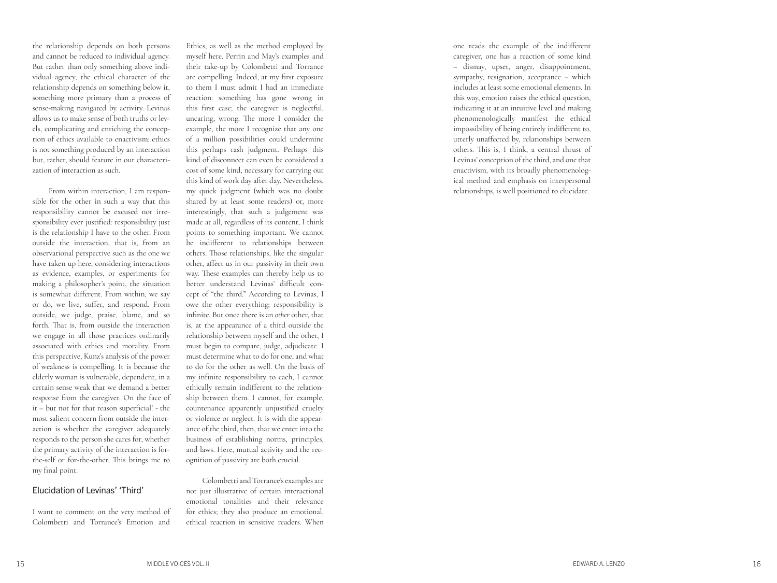the relationship depends on both persons and cannot be reduced to individual agency. But rather than only something above indi vidual agency, the ethical character of the relationship depends on something below it, something more primary than a process of sense-making navigated by activity. Levinas allows us to make sense of both truths or lev els, complicating and enriching the concep tion of ethics available to enactivism: ethics is not something produced by an interaction but, rather, should feature in our characteri zation of interaction as such.

From within interaction, I am respon sible for the other in such a way that this responsibility cannot be excused nor irre sponsibility ever justified: responsibility just is the relationship I have to the other. From outside the interaction, that is, from an observational perspective such as the one we have taken up here, considering interactions as evidence, examples, or experiments for making a philosopher's point, the situation is somewhat different. From within, we say or do, we live, suffer, and respond. From outside, we judge, praise, blame, and so forth. That is, from outside the interaction we engage in all those practices ordinarily associated with ethics and morality. From this perspective, Kunz's analysis of the power of weakness is compelling. It is because the elderly woman is vulnerable, dependent, in a certain sense weak that we demand a better response from the caregiver. On the face of it – but not for that reason superficial! - the most salient concern from outside the inter action is whether the caregiver adequately responds to the person she cares for, whether the primary activity of the interaction is forthe-self or for-the-other. This brings me to my final point.

#### Elucidation of Levinas' 'Third'

I want to comment on the very method of Colombetti and Torrance's Emotion and

Ethics, as well as the method employed by myself here. Perrin and May's examples and their take-up by Colombetti and Torrance are compelling. Indeed, at my first exposure to them I must admit I had an immediate reaction: something has gone wrong in this first case; the caregiver is neglectful, uncaring, wrong. The more I consider the example, the more I recognize that any one of a million possibilities could undermine this perhaps rash judgment. Perhaps this kind of disconnect can even be considered a cost of some kind, necessary for carrying out this kind of work day after day. Nevertheless, my quick judgment (which was no doubt shared by at least some readers) or, more interestingly, that such a judgement was made at all, regardless of its content, I think points to something important. We cannot be indifferent to relationships between others. Those relationships, like the singular other, affect us in our passivity in their own way. These examples can thereby help us to better understand Levinas' difficult con -

cept of "the third." According to Levinas, I owe the other everything; responsibility is infinite. But once there is an *other* other, that is, at the appearance of a third outside the relationship between myself and the other, I must begin to compare, judge, adjudicate. I must determine what to do for one, and what to do for the other as well. On the basis of my infinite responsibility to each, I cannot ethically remain indifferent to the relation ship between them. I cannot, for example, countenance apparently unjustified cruelty or violence or neglect. It is with the appear ance of the third, then, that we enter into the business of establishing norms, principles, and laws. Here, mutual activity and the rec ognition of passivity are both crucial.

Colombetti and Torrance's examples are not just illustrative of certain interactional emotional tonalities and their relevance for ethics; they also produce an emotional, ethical reaction in sensitive readers. When

one reads the example of the indifferent caregiver, one has a reaction of some kind – dismay, upset, anger, disappointment, sympathy, resignation, acceptance – which includes at least some emotional elements. In this way, emotion raises the ethical question, indicating it at an intuitive level and making phenomenologically manifest the ethical impossibility of being entirely indifferent to, utterly unaffected by, relationships between others. This is, I think, a central thrust of Levinas' conception of the third, and one that enactivism, with its broadly phenomenolog ical method and emphasis on interpersonal relationships, is well positioned to elucidate.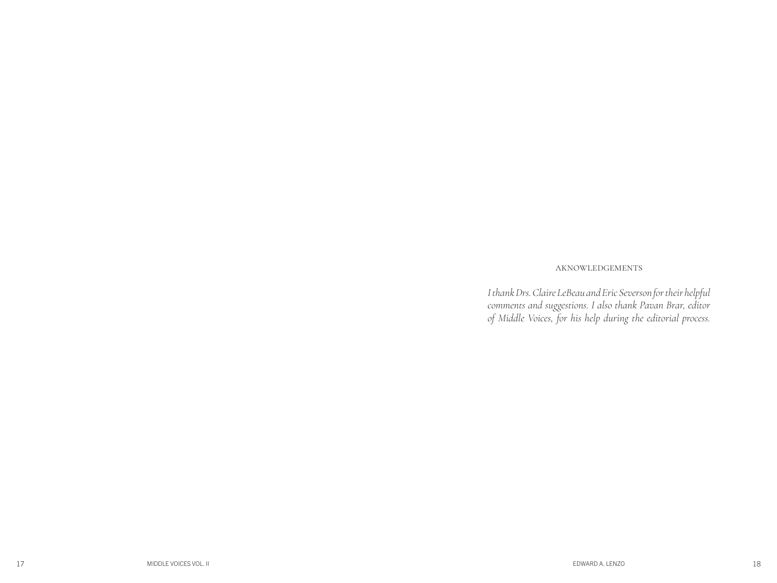#### AKNOWLEDGEMENTS

*I thank Drs. Claire LeBeau and Eric Severson for their helpful comments and suggestions. I also thank Pavan Brar, editor of Middle Voices, for his help during the editorial process.*